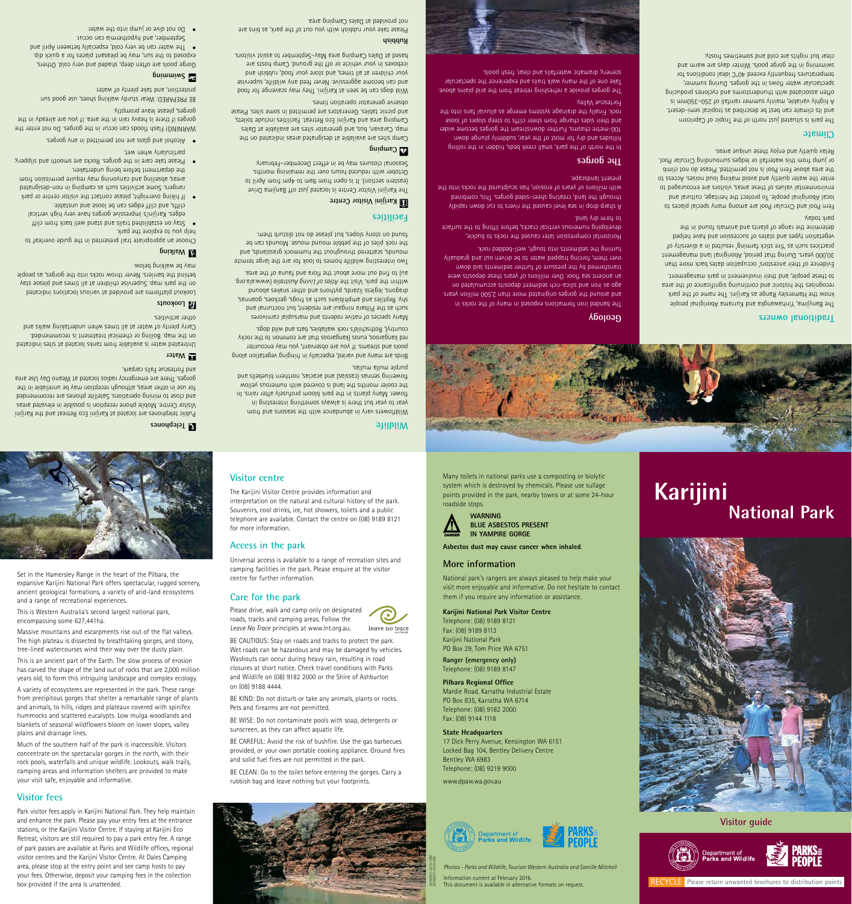**Visitor guide**



## **Traditional owners**

The Banyjima, Yinhawangka and Kurrama Aboriginal people know the Hamersley Range as Karijini. The name of the park recognises the historic and continuing significance of the area to these people, and their involvement in park management.

Evidence of their ancestors' occupation dates back more than 30,000 years. During that period, Aboriginal land management practices such as 'fire stick farming' resulted in a diversity of vegetation types and states of succession and have helped determine the range of plants and animals found in the park today.

Fern Pool and Circular Pool are among many special places to local Aboriginal people. Io protect the heritage, cultural and environmental values of these areas, visitors are encouraged to enter the water quietly and avoid making loud noises. Access to the area above Fern Pool is not permitted. Please do not climb or jump from this waterfall or ledges surrounding Circular Pool. Relax quietly and enjoy these unique areas.

#### **Climate**

The park is situated just north of the Tropic of Capricorn and its climate can best be described as tropical semi-desert. A highly variable, mainly summer rainfall of 250–350mm is often associated with thunderstorms and cyclones producing spectacular water flows in the gorges. During summer, temperatures frequently exceed 40°C ideal conditions for swimming in the gorge pools. Winter days are warm and clear but nights are cold and sometimes frosty.

### **Geology**

The banded iron formations exposed in many of the rocks in and around the gorges originated more than 2,500 million years ago as iron and silica-rich sediment deposits accumulated on an ancient sea floor. Over millions of years these deposits were transformed by the pressure of further sediments laid down over them, forcing trapped water to be driven out and gradually turning the sediments into tough, well-bedded rock.

Horizontal compression later caused the rocks to buckle, developing numerous vertical cracks, before lifting to the surface to form dry land.

The Karijini Visitor Centre is located just off Banjima Drive (eastern section). It is open from 9am to 4pm from April to October with reduced hours over the remaining months. Seasonal closures may be in effect December–February. **Example** Camping

**Ell** Karijini Visitor Centre

A sharp drop in sea level caused the rivers to cut down rapidly through the land, creating sheer-sided gorges. Ihis, combined with millions of years of erosion, has sculptured the rocks into the present landscape.

#### **The gorges**

Wild dogs can be seen at Karijini. Ihey may scavenge for food and can become aggressive. Never feed any wildlife, supervise your children at all times, and store your food, rubbish and iceboxes in your vehicle or off the ground. Camp hosts are based at Dales Camping area May–September to assist visitors.

> In the north of the park, small creek beds, hidden in the rolling hillsides and dry for most of the year, suddenly plunge down 100-metre chasms. Further downstream the gorges become wider and their sides change from sheer cliffs to steep slopes of loose rock. Finally the drainage systems emerge as alluvial fans into the





The gorges provide a refreshing retreat from the arid plains above. Take one of the many walk trails and experience the spectacular scenery, dramatic waterfalls and clear, fresh pools.



**Wildlife**

C leave no trace

purple unilas.

Wildflowers vary in abundance with the seasons and from year to year but there is always something interesting in flower. Many plants in the park bloom profusely after rains. In the cooler months the land is covered with numerous yellow flowering sennas (cassias) and acacias, northern bluebells and

Birds are many and varied, especially in fringing vegetation along pools and streams. If you are observant, you may encounter red kangaroos, euros (kangaroos that are common to the rocky country), Rothschild's rock wallabies, bats and wild dogs. Many species of native rodents and marsupial carnivores such as the Pilbara ningaui are resident, but nocturnal and shy. Reptiles and amphibians such as frogs, geckoes, goannas, dragons, legless lizards, pythons and other snakes abound within the park. Visit the Atlas of Living Australia (www.ala.org. au) to find out more about the flora and fauna of the area. Two interesting wildlife homes to look for are the large termite mounds, scattered throughout the hummock grasslands, and the rock piles of the pebble mound mouse. Mounds can be found on stony slopes, but please do not disturb them.

**Facilities**

Camp sites are available at designated areas indicated on the map. Caravan, bus, and generator sites are available at Dales Camping area and Karijini Eco Retreat. Facilities include toilets, and picnic tables. Generators are permitted in some sites. Please observe generator operation times.

### **Rubbish**

Please take your rubbish with you out of the park, as bins are not provided at Dales Camping area.

other activities. **La** Lookouts

**National Park**

**Karijini**

Many toilets in national parks use a composting or biolytic system which is destroyed by chemicals. Please use sullage points provided in the park, nearby towns or at some 24-hour

roadside stops.

**AN** 

Stay on established trails and stand well back trong that edges. Karijini's impressive gorges have very high vertical

**WARNING**

**BLUE ASBESTOS PRESENT IN YAMPIRE GORGE**

**Asbestos dust may cause cancer when inhaled**.

**More information**

clifts, and cliff edges can be loose and unstable. If hiking overnight, please contact the visitor centre or park • rangers. Some activities such as camping in non-designated areas, abseiling and canyoning may require permission from

> National park's rangers are always pleased to help make your visit more enjoyable and informative. Do not hesitate to contact

them if you require any information or assistance.

WARNING! Flash floods can occur in the gorges. Do not enter the gorges if there is heavy rain in the area. If you are already in the

**Karijini National Park Visitor Centre**

Telephone: (08) 9189 8121 Fax: (08) 9189 8113 Karijini National Park

PO Box 29, Tom Price WA 6751 **Ranger (emergency only)**  Telephone: (08) 9189 8147

**Pilbara Regional Office** Mardie Road, Karratha Industrial Estate PO Box 835, Karratha WA 6714 Telephone: (08) 9182 2000 Fax: (08) 9144 1118

#### **State Headquarters**

17 Dick Perry Avenue, Kensington WA 6151 Locked Bag 104, Bentley Delivery Centre Bentley WA 6983 Telephone: (08) 9219 9000

www.dpaw.wa.gov.au



#### **Visitor centre**

# **ALL YOU**

The Karijini Visitor Centre provides information and interpretation on the natural and cultural history of the park. Souvenirs, cool drinks, ice, hot showers, toilets and a public telephone are available. Contact the centre on (08) 9189 8121 for more information.

#### **Access in the park**

Universal access is available to a range of recreation sites and camping facilities in the park. Please enquire at the visitor centre for further information.

**Care for the park**

Please drive, walk and camp only on designated roads, tracks and camping areas. Follow the *Leave No Trace* principles at www.lnt.org.au.

BE CAUTIOUS: Stay on roads and tracks to protect the park. Wet roads can be hazardous and may be damaged by vehicles. Washouts can occur during heavy rain, resulting in road closures at short notice. Check travel conditions with Parks and Wildlife on (08) 9182 2000 or the Shire of Ashburton

on (08) 9188 4444.

BE KIND: Do not disturb or take any animals, plants or rocks. Pets and firearms are not permitted.

BE WISE: Do not contaminate pools with soap, detergents or sunscreen, as they can affect aquatic life.

BE CAREFUL: Avoid the risk of bushfire. Use the gas barbecues provided, or your own portable cooking appliance. Ground fires and solid fuel fires are not permitted in the park.

BE CLEAN: Go to the toilet before entering the gorges. Carry a rubbish bag and leave nothing but your footprints.

Set in the Hamersley Range in the heart of the Pilbara, the expansive Karijini National Park offers spectacular, rugged scenery, ancient geological formations, a variety of arid-land ecosystems



and a range of recreational experiences. This is Western Australia's second largest national park,

encompassing some 627,441ha.

Massive mountains and escarpments rise out of the flat valleys. The high plateau is dissected by breathtaking gorges, and stony,

tree-lined watercourses wind their way over the dusty plain. This is an ancient part of the Earth. The slow process of erosion has carved the shape of the land out of rocks that are 2,000 million

years old, to form this intriguing landscape and complex ecology.

A variety of ecosystems are represented in the park. These range from precipitous gorges that shelter a remarkable range of plants and animals, to hills, ridges and plateaux covered with spinifex hummocks and scattered eucalypts. Low mulga woodlands and blankets of seasonal wildflowers bloom on lower slopes, valley plains and drainage lines.

Much of the southern half of the park is inaccessible. Visitors concentrate on the spectacular gorges in the north, with their rock pools, waterfalls and unique wildlife. Lookouts, walk trails, camping areas and information shelters are provided to make your visit safe, enjoyable and informative.

#### **Visitor fees**

Park visitor fees apply in Karijini National Park. They help maintain and enhance the park. Please pay your entry fees at the entrance stations, or the Karijini Visitor Centre. If staying at Karijini Eco Retreat, visitors are still required to pay a park entry fee. A range of park passes are available at Parks and Wildlife offices, regional visitor centres and the Karijini Visitor Centre. At Dales Camping area, please stop at the entry point and see camp hosts to pay your fees. Otherwise, deposit your camping fees in the collection box provided if the area is unattended.

**Telephones**

**Mater** 

Public telephones are located at Karijini Eco Retreat and the Karijini Visitor Centre. Mobile phone reception is possible in elevated areas and close to mining operations. Satellite phones are recommended for use in other areas, although reception may be unreliable in the gorges. There are emergency radios located at Weano Day Use area

and Fortescue Falls carpark.

Untreated water is available from tanks located at sites indicated on the map. Boiling or chemical treatment is recommended. Carry plenty of water at all times when undertaking walks and

Lookout platforms are provided at various locations indicated on the park map. Supervise children at all times and please stay behind the barriers. Never throw rocks into the gorges, as people

may be walking below.

Choose an appropriate trail presented in the guide overleaf to

help you to explore the park.

the department before being undertaken.

Please take care in the gorges. Rocks are smooth and slippery, •

particularly when wet.

Alcohol and glass are not permitted in any gorges. •

BE **PREPARED: Wear sturdy walking shoes, use good sun** 

gorges, please leave promptly.

**Suimming** 

protection, and take plenty of water.

**Walking** 

Gorge pools are often deep, shaded and very cold. Others, exposed to the sun, may be pleasant places for a quick dip. The water can be very cold, especially between April and •

September, and hypothermia can occur. Oo not dive or jump into the water.

RECYCLE **Please return unwanted brochures to distribution points**



*Photos - Parks and Wildlife, Tourism Western Australia and Samille Mitchell*  Information current at February 2016. This document is available in alternative formats on request.